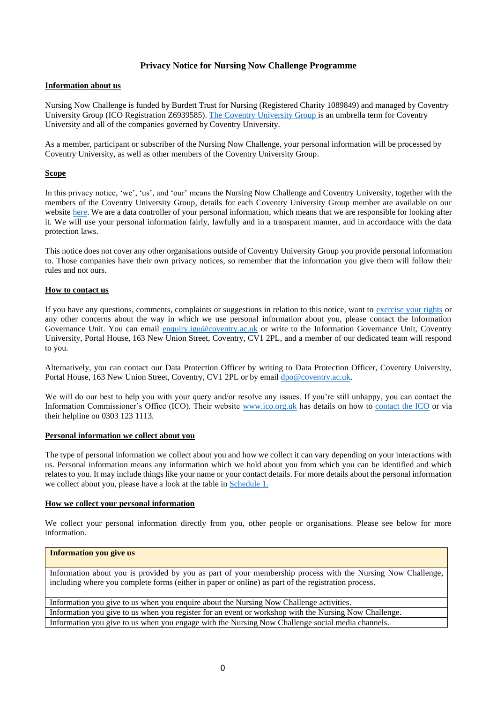# **Privacy Notice for Nursing Now Challenge Programme**

#### **Information about us**

Nursing Now Challenge is funded by Burdett Trust for Nursing (Registered Charity 1089849) and managed by Coventry University Group (ICO Registration Z6939585). The [Coventry University Group](https://www.coventry.ac.uk/the-university/about-coventry-university/) is an umbrella term for Coventry University and all of the companies governed by Coventry University.

As a member, participant or subscriber of the Nursing Now Challenge, your personal information will be processed by Coventry University, as well as other members of the Coventry University Group.

## **Scope**

In this privacy notice, 'we', 'us', and 'our' means the Nursing Now Challenge and Coventry University, together with the members of the Coventry University Group, details for each Coventry University Group member are available on our website [here.](https://www.coventry.ac.uk/the-university/about-coventry-university/coventry-university-group-explained/) We are a data controller of your personal information, which means that we are responsible for looking after it. We will use your personal information fairly, lawfully and in a transparent manner, and in accordance with the data protection laws.

This notice does not cover any other organisations outside of Coventry University Group you provide personal information to. Those companies have their own privacy notices, so remember that the information you give them will follow their rules and not ours.

#### **How to contact us**

If you have any questions, comments, complaints or suggestions in relation to this notice, want to [exercise your rights](#page-3-0) or any other concerns about the way in which we use personal information about you, please contact the Information Governance Unit. You can email [enquiry.igu@coventry.ac.uk](mailto:enquiry.igu@coventry.ac.uk) or write to the Information Governance Unit, Coventry University, Portal House, 163 New Union Street, Coventry, CV1 2PL, and a member of our dedicated team will respond to you.

Alternatively, you can contact our Data Protection Officer by writing to Data Protection Officer, Coventry University, Portal House, 163 New Union Street, Coventry, CV1 2PL or by email  $\frac{dpo@covery.ac.uk.}{dpo@covery.ac.uk.}$ 

We will do our best to help you with your query and/or resolve any issues. If you're still unhappy, you can contact the Information Commissioner's Office (ICO). Their website [www.ico.org.uk](http://www.ico.org.uk/) has details on how to [contact the ICO](https://ico.org.uk/global/contact-us/) or via their helpline on 0303 123 1113.

### **Personal information we collect about you**

The type of personal information we collect about you and how we collect it can vary depending on your interactions with us. Personal information means any information which we hold about you from which you can be identified and which relates to you. It may include things like your name or your contact details. For more details about the personal information we collect about you, please have a look at the table i[n Schedule](#page-4-0) 1.

#### **How we collect your personal information**

We collect your personal information directly from you, other people or organisations. Please see below for more information.

# **Information you give us**

Information about you is provided by you as part of your membership process with the Nursing Now Challenge, including where you complete forms (either in paper or online) as part of the registration process.

Information you give to us when you enquire about the Nursing Now Challenge activities. Information you give to us when you register for an event or workshop with the Nursing Now Challenge. Information you give to us when you engage with the Nursing Now Challenge social media channels.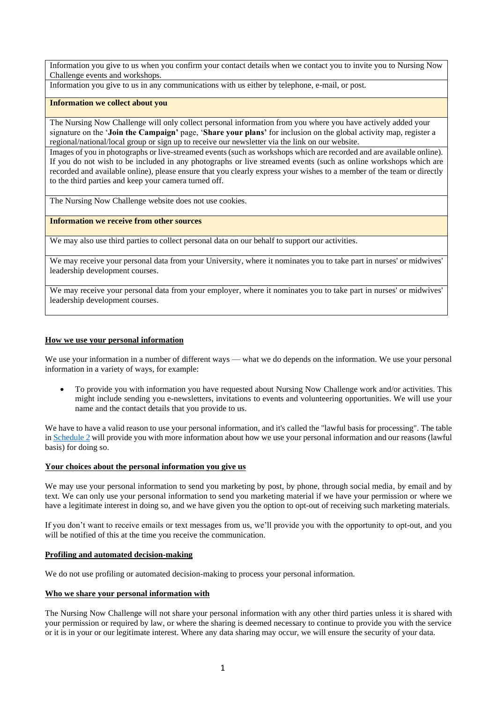Information you give to us when you confirm your contact details when we contact you to invite you to Nursing Now Challenge events and workshops.

Information you give to us in any communications with us either by telephone, e-mail, or post.

#### **Information we collect about you**

The Nursing Now Challenge will only collect personal information from you where you have actively added your signature on the '**Join the Campaign'** page, '**Share your plans'** for inclusion on the global activity map, register a regional/national/local group or sign up to receive our newsletter via the link on our website.

Images of you in photographs or live-streamed events (such as workshops which are recorded and are available online). If you do not wish to be included in any photographs or live streamed events (such as online workshops which are recorded and available online), please ensure that you clearly express your wishes to a member of the team or directly to the third parties and keep your camera turned off.

The Nursing Now Challenge website does not use cookies.

### **Information we receive from other sources**

We may also use third parties to collect personal data on our behalf to support our activities.

We may receive your personal data from your University, where it nominates you to take part in nurses' or midwives' leadership development courses.

We may receive your personal data from your employer, where it nominates you to take part in nurses' or midwives' leadership development courses.

## **How we use your personal information**

We use your information in a number of different ways — what we do depends on the information. We use your personal information in a variety of ways, for example:

• To provide you with information you have requested about Nursing Now Challenge work and/or activities. This might include sending you e-newsletters, invitations to events and volunteering opportunities. We will use your name and the contact details that you provide to us.

We have to have a valid reason to use your personal information, and it's called the "lawful basis for processing". The table in [Schedule 2](#page-4-0) will provide you with more information about how we use your personal information and our reasons (lawful basis) for doing so.

### **Your choices about the personal information you give us**

We may use your personal information to send you marketing by post, by phone, through social media, by email and by text. We can only use your personal information to send you marketing material if we have your permission or where we have a legitimate interest in doing so, and we have given you the option to opt-out of receiving such marketing materials.

If you don't want to receive emails or text messages from us, we'll provide you with the opportunity to opt-out, and you will be notified of this at the time you receive the communication.

## **Profiling and automated decision-making**

We do not use profiling or automated decision-making to process your personal information.

#### **Who we share your personal information with**

The Nursing Now Challenge will not share your personal information with any other third parties unless it is shared with your permission or required by law, or where the sharing is deemed necessary to continue to provide you with the service or it is in your or our legitimate interest. Where any data sharing may occur, we will ensure the security of your data.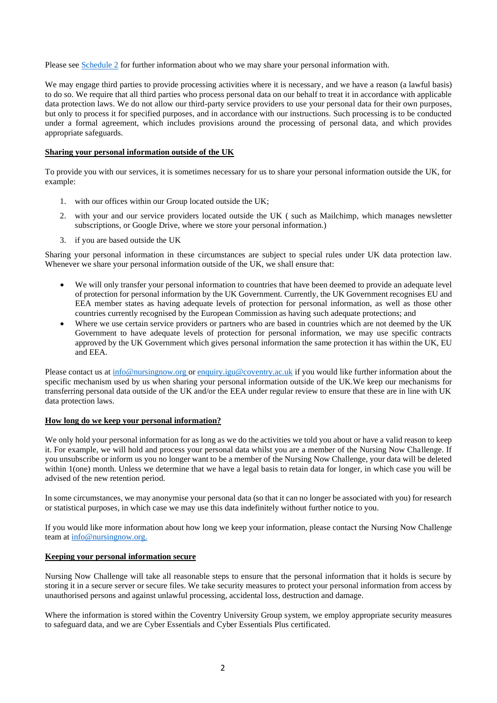Please see [Schedule](#page-5-0) 2 for further information about who we may share your personal information with.

We may engage third parties to provide processing activities where it is necessary, and we have a reason (a lawful basis) to do so. We require that all third parties who process personal data on our behalf to treat it in accordance with applicable data protection laws. We do not allow our third-party service providers to use your personal data for their own purposes, but only to process it for specified purposes, and in accordance with our instructions. Such processing is to be conducted under a formal agreement, which includes provisions around the processing of personal data, and which provides appropriate safeguards.

#### **Sharing your personal information outside of the UK**

To provide you with our services, it is sometimes necessary for us to share your personal information outside the UK, for example:

- 1. with our offices within our Group located outside the UK;
- 2. with your and our service providers located outside the UK ( such as Mailchimp, which manages newsletter subscriptions, or Google Drive, where we store your personal information.)
- 3. if you are based outside the UK

Sharing your personal information in these circumstances are subject to special rules under UK data protection law. Whenever we share your personal information outside of the UK, we shall ensure that:

- We will only transfer your personal information to countries that have been deemed to provide an adequate level of protection for personal information by the UK Government. Currently, the UK Government recognises EU and EEA member states as having adequate levels of protection for personal information, as well as those other countries currently recognised by the European Commission as having such adequate protections; and
- Where we use certain service providers or partners who are based in countries which are not deemed by the UK Government to have adequate levels of protection for personal information, we may use specific contracts approved by the UK Government which gives personal information the same protection it has within the UK, EU and EEA.

Please contact us at [info@nursingnow.org](mailto:info@nursingnow.org) or [enquiry.igu@coventry.ac.uk](mailto:enquiry.igu@coventry.ac.uk) if you would like further information about the specific mechanism used by us when sharing your personal information outside of the UK.We keep our mechanisms for transferring personal data outside of the UK and/or the EEA under regular review to ensure that these are in line with UK data protection laws.

#### **How long do we keep your personal information?**

We only hold your personal information for as long as we do the activities we told you about or have a valid reason to keep it. For example, we will hold and process your personal data whilst you are a member of the Nursing Now Challenge. If you unsubscribe or inform us you no longer want to be a member of the Nursing Now Challenge, your data will be deleted within 1(one) month. Unless we determine that we have a legal basis to retain data for longer, in which case you will be advised of the new retention period.

In some circumstances, we may anonymise your personal data (so that it can no longer be associated with you) for research or statistical purposes, in which case we may use this data indefinitely without further notice to you.

If you would like more information about how long we keep your information, please contact the Nursing Now Challenge team a[t info@nursingnow.org.](mailto:info@nursingnow.org)

#### **Keeping your personal information secure**

Nursing Now Challenge will take all reasonable steps to ensure that the personal information that it holds is secure by storing it in a secure server or secure files. We take security measures to protect your personal information from access by unauthorised persons and against unlawful processing, accidental loss, destruction and damage.

Where the information is stored within the Coventry University Group system, we employ appropriate security measures to safeguard data, and we are Cyber Essentials and Cyber Essentials Plus certificated.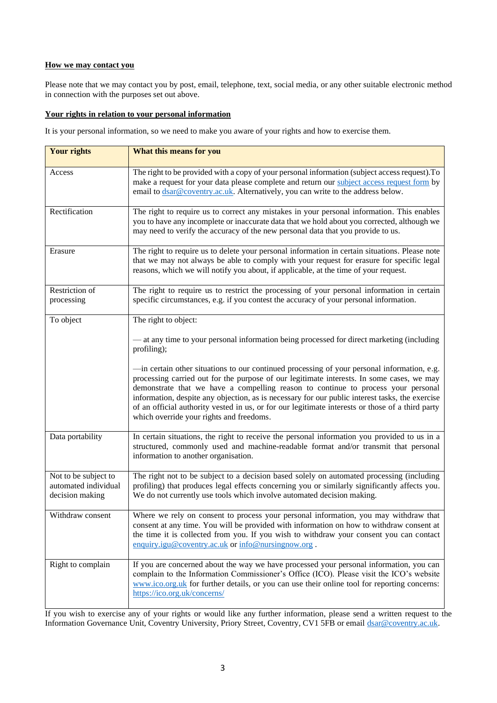## **How we may contact you**

Please note that we may contact you by post, email, telephone, text, social media, or any other suitable electronic method in connection with the purposes set out above.

# <span id="page-3-0"></span>**Your rights in relation to your personal information**

It is your personal information, so we need to make you aware of your rights and how to exercise them.

| <b>Your rights</b>                                              | What this means for you                                                                                                                                                                                                                                                                                                                                                                                                                                                                                                          |
|-----------------------------------------------------------------|----------------------------------------------------------------------------------------------------------------------------------------------------------------------------------------------------------------------------------------------------------------------------------------------------------------------------------------------------------------------------------------------------------------------------------------------------------------------------------------------------------------------------------|
| Access                                                          | The right to be provided with a copy of your personal information (subject access request). To<br>make a request for your data please complete and return our subject access request form by<br>email to dsar@coventry.ac.uk. Alternatively, you can write to the address below.                                                                                                                                                                                                                                                 |
| Rectification                                                   | The right to require us to correct any mistakes in your personal information. This enables<br>you to have any incomplete or inaccurate data that we hold about you corrected, although we<br>may need to verify the accuracy of the new personal data that you provide to us.                                                                                                                                                                                                                                                    |
| Erasure                                                         | The right to require us to delete your personal information in certain situations. Please note<br>that we may not always be able to comply with your request for erasure for specific legal<br>reasons, which we will notify you about, if applicable, at the time of your request.                                                                                                                                                                                                                                              |
| Restriction of<br>processing                                    | The right to require us to restrict the processing of your personal information in certain<br>specific circumstances, e.g. if you contest the accuracy of your personal information.                                                                                                                                                                                                                                                                                                                                             |
| To object                                                       | The right to object:                                                                                                                                                                                                                                                                                                                                                                                                                                                                                                             |
|                                                                 | — at any time to your personal information being processed for direct marketing (including<br>profiling);                                                                                                                                                                                                                                                                                                                                                                                                                        |
|                                                                 | -in certain other situations to our continued processing of your personal information, e.g.<br>processing carried out for the purpose of our legitimate interests. In some cases, we may<br>demonstrate that we have a compelling reason to continue to process your personal<br>information, despite any objection, as is necessary for our public interest tasks, the exercise<br>of an official authority vested in us, or for our legitimate interests or those of a third party<br>which override your rights and freedoms. |
| Data portability                                                | In certain situations, the right to receive the personal information you provided to us in a<br>structured, commonly used and machine-readable format and/or transmit that personal<br>information to another organisation.                                                                                                                                                                                                                                                                                                      |
| Not to be subject to<br>automated individual<br>decision making | The right not to be subject to a decision based solely on automated processing (including<br>profiling) that produces legal effects concerning you or similarly significantly affects you.<br>We do not currently use tools which involve automated decision making.                                                                                                                                                                                                                                                             |
| Withdraw consent                                                | Where we rely on consent to process your personal information, you may withdraw that<br>consent at any time. You will be provided with information on how to withdraw consent at<br>the time it is collected from you. If you wish to withdraw your consent you can contact<br>enquiry.igu@coventry.ac.uk or info@nursingnow.org.                                                                                                                                                                                                |
| Right to complain                                               | If you are concerned about the way we have processed your personal information, you can<br>complain to the Information Commissioner's Office (ICO). Please visit the ICO's website<br>www.ico.org.uk for further details, or you can use their online tool for reporting concerns:<br>https://ico.org.uk/concerns/                                                                                                                                                                                                               |

If you wish to exercise any of your rights or would like any further information, please send a written request to the Information Governance Unit, Coventry University, Priory Street, Coventry, CV1 5FB or emai[l dsar@coventry.ac.uk.](mailto:dsar@coventry.ac.uk)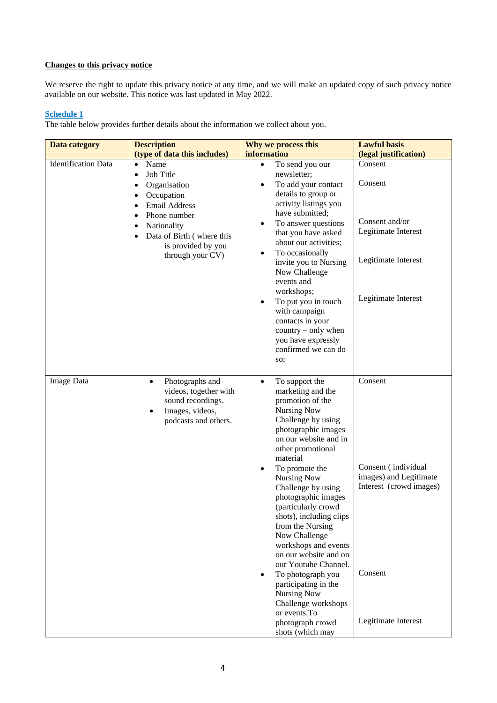# **Changes to this privacy notice**

We reserve the right to update this privacy notice at any time, and we will make an updated copy of such privacy notice available on our website. This notice was last updated in May 2022.

# <span id="page-4-0"></span>**Schedule 1**

The table below provides further details about the information we collect about you.

| <b>Data category</b>       | <b>Description</b>                                                                                                                                     | Why we process this                                                                                                                                                                                                                                                                                                                      | <b>Lawful basis</b>                                                                 |
|----------------------------|--------------------------------------------------------------------------------------------------------------------------------------------------------|------------------------------------------------------------------------------------------------------------------------------------------------------------------------------------------------------------------------------------------------------------------------------------------------------------------------------------------|-------------------------------------------------------------------------------------|
|                            | (type of data this includes)                                                                                                                           | information                                                                                                                                                                                                                                                                                                                              | (legal justification)                                                               |
| <b>Identification Data</b> | Name<br>$\bullet$<br>Job Title<br>$\bullet$<br>Organisation<br>$\bullet$<br>Occupation<br>٠<br>Email Address<br>$\bullet$<br>Phone number<br>$\bullet$ | To send you our<br>$\bullet$<br>newsletter;<br>To add your contact<br>details to group or<br>activity listings you<br>have submitted;                                                                                                                                                                                                    | Consent<br>Consent                                                                  |
|                            | Nationality<br>$\bullet$<br>Data of Birth (where this<br>$\bullet$<br>is provided by you<br>through your CV)                                           | To answer questions<br>that you have asked<br>about our activities;                                                                                                                                                                                                                                                                      | Consent and/or<br>Legitimate Interest                                               |
|                            |                                                                                                                                                        | To occasionally<br>$\bullet$<br>invite you to Nursing<br>Now Challenge<br>events and<br>workshops;                                                                                                                                                                                                                                       | Legitimate Interest                                                                 |
|                            |                                                                                                                                                        | To put you in touch<br>$\bullet$<br>with campaign<br>contacts in your<br>$country - only when$<br>you have expressly<br>confirmed we can do<br>so;                                                                                                                                                                                       | Legitimate Interest                                                                 |
| <b>Image Data</b>          | Photographs and<br>$\bullet$<br>videos, together with<br>sound recordings.<br>Images, videos,<br>$\bullet$<br>podcasts and others.                     | To support the<br>$\bullet$<br>marketing and the<br>promotion of the<br><b>Nursing Now</b><br>Challenge by using<br>photographic images<br>on our website and in<br>other promotional<br>material<br>To promote the<br><b>Nursing Now</b><br>Challenge by using<br>photographic images<br>(particularly crowd<br>shots), including clips | Consent<br>Consent (individual<br>images) and Legitimate<br>Interest (crowd images) |
|                            |                                                                                                                                                        | from the Nursing<br>Now Challenge<br>workshops and events<br>on our website and on<br>our Youtube Channel.<br>To photograph you<br>participating in the<br><b>Nursing Now</b><br>Challenge workshops<br>or events. To<br>photograph crowd<br>shots (which may                                                                            | Consent<br>Legitimate Interest                                                      |